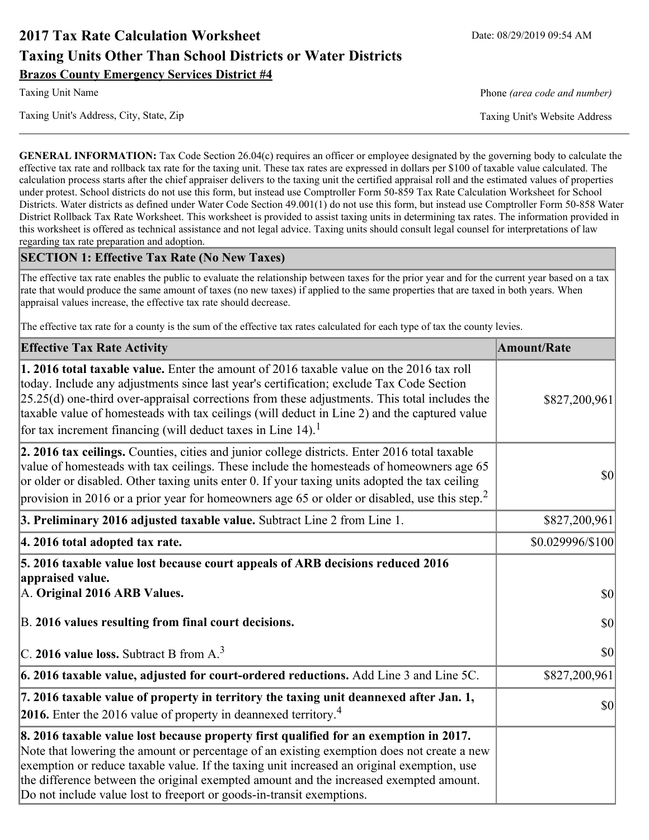# **2017 Tax Rate Calculation Worksheet** Date: 08/29/2019 09:54 AM **Taxing Units Other Than School Districts or Water Districts Brazos County Emergency Services District #4**

Taxing Unit's Address, City, State, Zip Taxing Unit's Website Address

Taxing Unit Name **Phone** *(area code and number)* Phone *(area code and number)* 

**GENERAL INFORMATION:** Tax Code Section 26.04(c) requires an officer or employee designated by the governing body to calculate the effective tax rate and rollback tax rate for the taxing unit. These tax rates are expressed in dollars per \$100 of taxable value calculated. The calculation process starts after the chief appraiser delivers to the taxing unit the certified appraisal roll and the estimated values of properties under protest. School districts do not use this form, but instead use Comptroller Form 50-859 Tax Rate Calculation Worksheet for School Districts. Water districts as defined under Water Code Section 49.001(1) do not use this form, but instead use Comptroller Form 50-858 Water District Rollback Tax Rate Worksheet. This worksheet is provided to assist taxing units in determining tax rates. The information provided in this worksheet is offered as technical assistance and not legal advice. Taxing units should consult legal counsel for interpretations of law regarding tax rate preparation and adoption.

### **SECTION 1: Effective Tax Rate (No New Taxes)**

The effective tax rate enables the public to evaluate the relationship between taxes for the prior year and for the current year based on a tax rate that would produce the same amount of taxes (no new taxes) if applied to the same properties that are taxed in both years. When appraisal values increase, the effective tax rate should decrease.

The effective tax rate for a county is the sum of the effective tax rates calculated for each type of tax the county levies.

| <b>Effective Tax Rate Activity</b>                                                                                                                                                                                                                                                                                                                                                                                                                                             | <b>Amount/Rate</b> |
|--------------------------------------------------------------------------------------------------------------------------------------------------------------------------------------------------------------------------------------------------------------------------------------------------------------------------------------------------------------------------------------------------------------------------------------------------------------------------------|--------------------|
| <b>1. 2016 total taxable value.</b> Enter the amount of 2016 taxable value on the 2016 tax roll<br>today. Include any adjustments since last year's certification; exclude Tax Code Section<br>$[25.25(d)$ one-third over-appraisal corrections from these adjustments. This total includes the<br>taxable value of homesteads with tax ceilings (will deduct in Line 2) and the captured value<br>for tax increment financing (will deduct taxes in Line $14$ ). <sup>1</sup> | \$827,200,961      |
| 2. 2016 tax ceilings. Counties, cities and junior college districts. Enter 2016 total taxable<br>value of homesteads with tax ceilings. These include the homesteads of homeowners age 65<br>or older or disabled. Other taxing units enter 0. If your taxing units adopted the tax ceiling<br>provision in 2016 or a prior year for homeowners age 65 or older or disabled, use this step. <sup>2</sup>                                                                       | 30                 |
| 3. Preliminary 2016 adjusted taxable value. Subtract Line 2 from Line 1.                                                                                                                                                                                                                                                                                                                                                                                                       | \$827,200,961      |
| 4. 2016 total adopted tax rate.                                                                                                                                                                                                                                                                                                                                                                                                                                                | \$0.029996/\$100   |
| 5. 2016 taxable value lost because court appeals of ARB decisions reduced 2016<br>appraised value.<br>A. Original 2016 ARB Values.                                                                                                                                                                                                                                                                                                                                             | 30                 |
| B. 2016 values resulting from final court decisions.                                                                                                                                                                                                                                                                                                                                                                                                                           | 30                 |
| C. 2016 value loss. Subtract B from $A3$                                                                                                                                                                                                                                                                                                                                                                                                                                       | 30                 |
| 6. 2016 taxable value, adjusted for court-ordered reductions. Add Line 3 and Line 5C.                                                                                                                                                                                                                                                                                                                                                                                          | \$827,200,961      |
| 7. 2016 taxable value of property in territory the taxing unit deannexed after Jan. 1,<br><b>2016.</b> Enter the 2016 value of property in deannexed territory. <sup>4</sup>                                                                                                                                                                                                                                                                                                   | $ 10\rangle$       |
| 8. 2016 taxable value lost because property first qualified for an exemption in 2017.<br>Note that lowering the amount or percentage of an existing exemption does not create a new<br>exemption or reduce taxable value. If the taxing unit increased an original exemption, use<br>the difference between the original exempted amount and the increased exempted amount.<br>Do not include value lost to freeport or goods-in-transit exemptions.                           |                    |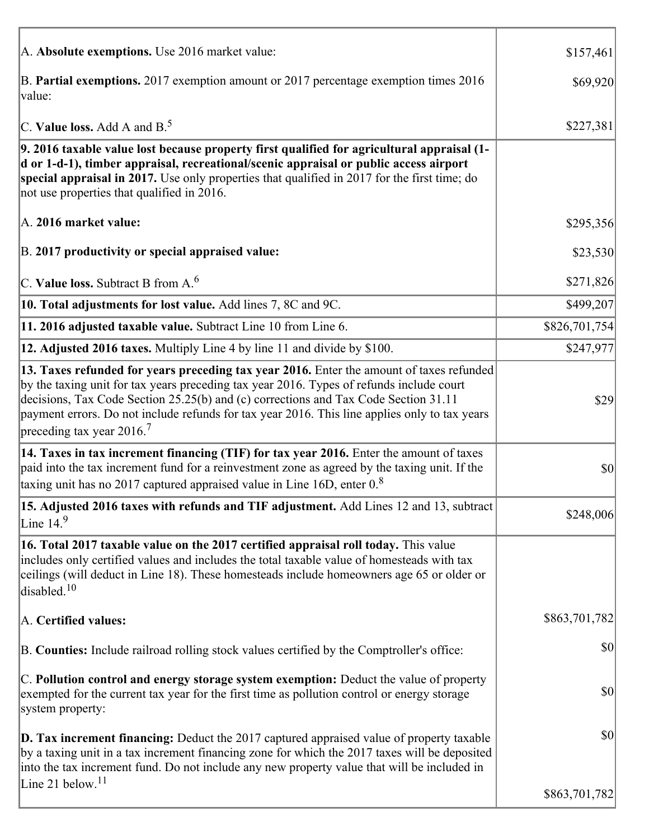| A. Absolute exemptions. Use 2016 market value:                                                                                                                                                                                                                                                                                                                                                                         | \$157,461     |
|------------------------------------------------------------------------------------------------------------------------------------------------------------------------------------------------------------------------------------------------------------------------------------------------------------------------------------------------------------------------------------------------------------------------|---------------|
| B. Partial exemptions. 2017 exemption amount or 2017 percentage exemption times 2016<br>value:                                                                                                                                                                                                                                                                                                                         | \$69,920      |
| C. Value loss. Add A and $B^5$ .                                                                                                                                                                                                                                                                                                                                                                                       | \$227,381     |
| 9. 2016 taxable value lost because property first qualified for agricultural appraisal (1-<br>d or 1-d-1), timber appraisal, recreational/scenic appraisal or public access airport<br>special appraisal in 2017. Use only properties that qualified in 2017 for the first time; do<br>not use properties that qualified in 2016.                                                                                      |               |
| A. 2016 market value:                                                                                                                                                                                                                                                                                                                                                                                                  | \$295,356     |
| B. 2017 productivity or special appraised value:                                                                                                                                                                                                                                                                                                                                                                       | \$23,530      |
| C. Value loss. Subtract B from $A6$                                                                                                                                                                                                                                                                                                                                                                                    | \$271,826     |
| 10. Total adjustments for lost value. Add lines 7, 8C and 9C.                                                                                                                                                                                                                                                                                                                                                          | \$499,207     |
| 11. 2016 adjusted taxable value. Subtract Line 10 from Line 6.                                                                                                                                                                                                                                                                                                                                                         | \$826,701,754 |
| 12. Adjusted 2016 taxes. Multiply Line 4 by line 11 and divide by \$100.                                                                                                                                                                                                                                                                                                                                               | \$247,977     |
| 13. Taxes refunded for years preceding tax year 2016. Enter the amount of taxes refunded<br>by the taxing unit for tax years preceding tax year 2016. Types of refunds include court<br>decisions, Tax Code Section 25.25(b) and (c) corrections and Tax Code Section 31.11<br>payment errors. Do not include refunds for tax year 2016. This line applies only to tax years<br>preceding tax year $2016$ <sup>7</sup> | \$29          |
| 14. Taxes in tax increment financing (TIF) for tax year 2016. Enter the amount of taxes<br>paid into the tax increment fund for a reinvestment zone as agreed by the taxing unit. If the<br>taxing unit has no 2017 captured appraised value in Line 16D, enter $08$                                                                                                                                                   | \$0           |
| 15. Adjusted 2016 taxes with refunds and TIF adjustment. Add Lines 12 and 13, subtract<br>Line $149$                                                                                                                                                                                                                                                                                                                   | \$248,006     |
| 16. Total 2017 taxable value on the 2017 certified appraisal roll today. This value<br>includes only certified values and includes the total taxable value of homesteads with tax<br>ceilings (will deduct in Line 18). These homesteads include homeowners age 65 or older or<br>disabled. <sup>10</sup>                                                                                                              |               |
| A. Certified values:                                                                                                                                                                                                                                                                                                                                                                                                   | \$863,701,782 |
| B. Counties: Include railroad rolling stock values certified by the Comptroller's office:                                                                                                                                                                                                                                                                                                                              | \$0           |
| C. Pollution control and energy storage system exemption: Deduct the value of property<br>exempted for the current tax year for the first time as pollution control or energy storage<br>system property:                                                                                                                                                                                                              | \$0           |
| <b>D. Tax increment financing:</b> Deduct the 2017 captured appraised value of property taxable<br>by a taxing unit in a tax increment financing zone for which the 2017 taxes will be deposited<br>into the tax increment fund. Do not include any new property value that will be included in                                                                                                                        | \$0           |
| Line 21 below. <sup>11</sup>                                                                                                                                                                                                                                                                                                                                                                                           | \$863,701,782 |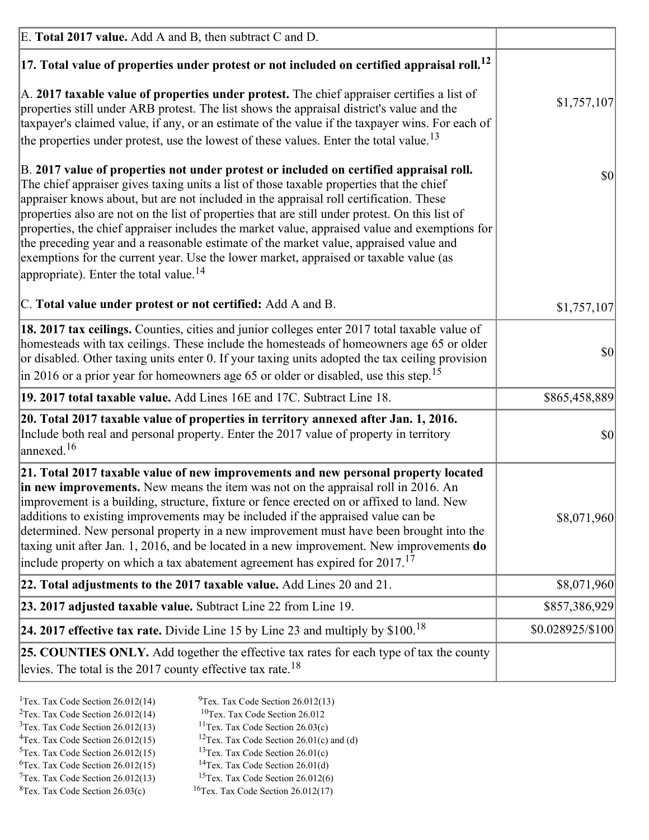| E. Total 2017 value. Add A and B, then subtract C and D.                                                                                                                                                                                                                                                                                                                                                                                                                                                                                                                                                                                                                                                                 |                  |
|--------------------------------------------------------------------------------------------------------------------------------------------------------------------------------------------------------------------------------------------------------------------------------------------------------------------------------------------------------------------------------------------------------------------------------------------------------------------------------------------------------------------------------------------------------------------------------------------------------------------------------------------------------------------------------------------------------------------------|------------------|
| $ 17$ . Total value of properties under protest or not included on certified appraisal roll. <sup>12</sup>                                                                                                                                                                                                                                                                                                                                                                                                                                                                                                                                                                                                               |                  |
| A. 2017 taxable value of properties under protest. The chief appraiser certifies a list of<br>properties still under ARB protest. The list shows the appraisal district's value and the<br>taxpayer's claimed value, if any, or an estimate of the value if the taxpayer wins. For each of<br>the properties under protest, use the lowest of these values. Enter the total value. <sup>13</sup>                                                                                                                                                                                                                                                                                                                         | \$1,757,107      |
| B. 2017 value of properties not under protest or included on certified appraisal roll.<br>The chief appraiser gives taxing units a list of those taxable properties that the chief<br>appraiser knows about, but are not included in the appraisal roll certification. These<br>properties also are not on the list of properties that are still under protest. On this list of<br>properties, the chief appraiser includes the market value, appraised value and exemptions for<br>the preceding year and a reasonable estimate of the market value, appraised value and<br>exemptions for the current year. Use the lower market, appraised or taxable value (as<br>appropriate). Enter the total value. <sup>14</sup> | 30               |
| C. Total value under protest or not certified: Add A and B.                                                                                                                                                                                                                                                                                                                                                                                                                                                                                                                                                                                                                                                              | \$1,757,107      |
| 18. 2017 tax ceilings. Counties, cities and junior colleges enter 2017 total taxable value of<br>homesteads with tax ceilings. These include the homesteads of homeowners age 65 or older<br>or disabled. Other taxing units enter 0. If your taxing units adopted the tax ceiling provision<br>$\vert$ in 2016 or a prior year for homeowners age 65 or older or disabled, use this step. <sup>15</sup>                                                                                                                                                                                                                                                                                                                 | 30               |
| 19. 2017 total taxable value. Add Lines 16E and 17C. Subtract Line 18.                                                                                                                                                                                                                                                                                                                                                                                                                                                                                                                                                                                                                                                   | \$865,458,889    |
| 20. Total 2017 taxable value of properties in territory annexed after Jan. 1, 2016.<br>Include both real and personal property. Enter the 2017 value of property in territory<br>annexed. <sup>16</sup>                                                                                                                                                                                                                                                                                                                                                                                                                                                                                                                  | $ 10\rangle$     |
| 21. Total 2017 taxable value of new improvements and new personal property located<br>in new improvements. New means the item was not on the appraisal roll in 2016. An<br>improvement is a building, structure, fixture or fence erected on or affixed to land. New<br>additions to existing improvements may be included if the appraised value can be<br>determined. New personal property in a new improvement must have been brought into the<br>taxing unit after Jan. 1, 2016, and be located in a new improvement. New improvements <b>do</b><br>include property on which a tax abatement agreement has expired for $2017$ . <sup>17</sup>                                                                      | \$8,071,960      |
| 22. Total adjustments to the 2017 taxable value. Add Lines 20 and 21.                                                                                                                                                                                                                                                                                                                                                                                                                                                                                                                                                                                                                                                    | \$8,071,960      |
| 23. 2017 adjusted taxable value. Subtract Line 22 from Line 19.                                                                                                                                                                                                                                                                                                                                                                                                                                                                                                                                                                                                                                                          | \$857,386,929    |
| 24. 2017 effective tax rate. Divide Line 15 by Line 23 and multiply by $$100$ . <sup>18</sup>                                                                                                                                                                                                                                                                                                                                                                                                                                                                                                                                                                                                                            | \$0.028925/\$100 |
| <b>25. COUNTIES ONLY.</b> Add together the effective tax rates for each type of tax the county<br>levies. The total is the 2017 county effective tax rate. <sup>18</sup>                                                                                                                                                                                                                                                                                                                                                                                                                                                                                                                                                 |                  |

- <sup>2</sup>Tex. Tax Code Section 26.012(14)
- <sup>1</sup>Tex. Tax Code Section 26.012(14) <sup>9</sup>Tex. Tax Code Section 26.012(13) <sup>9</sup>Tex. Tax Code Section 26.012
	-
- <sup>3</sup>Tex. Tax Code Section 26.012(13) <sup>11</sup>Tex. Tax Code Section 26.03(c) <sup>4</sup>Tex. Tax Code Section 26.01(c) and <sup>12</sup>Tex. Tax Code Section 26.01(c) and <sup>12</sup>Tex. Tax Code Section 26.01(c) and <sup>12</sup>Tex. Tax Code Section 26.01(c)
	- <sup>12</sup>Tex. Tax Code Section 26.01(c) and (d)
	-
- <sup>5</sup>Tex. Tax Code Section 26.012(15) <sup>13</sup>Tex. Tax Code Section 26.01(c) <sup>6</sup>Tex. Tax Code Section 26.01(d) <sup>6</sup>Tex. Tax Code Section 26.012(15) <sup>14</sup>Tex. Tax Code Section 26.01(d)<sup>7</sup>Tex. Tax Code Section 26.012(6)
- $7$ Tex. Tax Code Section 26.012(13)
- 
- 
- ${}^{8}$ Tex. Tax Code Section 26.03(c)  ${}^{16}$ Tex. Tax Code Section 26.012(17)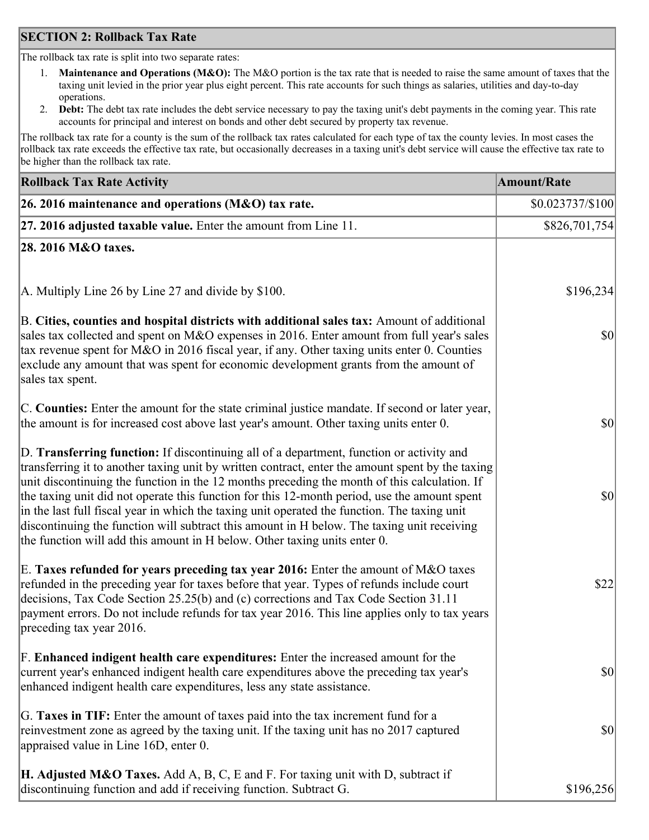### **SECTION 2: Rollback Tax Rate**

The rollback tax rate is split into two separate rates:

- 1. **Maintenance and Operations (M&O):** The M&O portion is the tax rate that is needed to raise the same amount of taxes that the taxing unit levied in the prior year plus eight percent. This rate accounts for such things as salaries, utilities and day-to-day operations.
- 2. **Debt:** The debt tax rate includes the debt service necessary to pay the taxing unit's debt payments in the coming year. This rate accounts for principal and interest on bonds and other debt secured by property tax revenue.

The rollback tax rate for a county is the sum of the rollback tax rates calculated for each type of tax the county levies. In most cases the rollback tax rate exceeds the effective tax rate, but occasionally decreases in a taxing unit's debt service will cause the effective tax rate to be higher than the rollback tax rate.

| <b>Rollback Tax Rate Activity</b>                                                                                                                                                                                                                                                                                                                                                                                                                                                                                                                                                                                                                                       | <b>Amount/Rate</b> |
|-------------------------------------------------------------------------------------------------------------------------------------------------------------------------------------------------------------------------------------------------------------------------------------------------------------------------------------------------------------------------------------------------------------------------------------------------------------------------------------------------------------------------------------------------------------------------------------------------------------------------------------------------------------------------|--------------------|
| 26. 2016 maintenance and operations (M&O) tax rate.                                                                                                                                                                                                                                                                                                                                                                                                                                                                                                                                                                                                                     | \$0.023737/\$100   |
| $ 27.2016$ adjusted taxable value. Enter the amount from Line 11.                                                                                                                                                                                                                                                                                                                                                                                                                                                                                                                                                                                                       | \$826,701,754      |
| 28. 2016 M&O taxes.                                                                                                                                                                                                                                                                                                                                                                                                                                                                                                                                                                                                                                                     |                    |
|                                                                                                                                                                                                                                                                                                                                                                                                                                                                                                                                                                                                                                                                         |                    |
| A. Multiply Line 26 by Line 27 and divide by \$100.                                                                                                                                                                                                                                                                                                                                                                                                                                                                                                                                                                                                                     | \$196,234          |
| B. Cities, counties and hospital districts with additional sales tax: Amount of additional<br>sales tax collected and spent on M&O expenses in 2016. Enter amount from full year's sales<br>tax revenue spent for M&O in 2016 fiscal year, if any. Other taxing units enter 0. Counties<br>exclude any amount that was spent for economic development grants from the amount of<br>sales tax spent.                                                                                                                                                                                                                                                                     | 30                 |
| C. Counties: Enter the amount for the state criminal justice mandate. If second or later year,<br>the amount is for increased cost above last year's amount. Other taxing units enter 0.                                                                                                                                                                                                                                                                                                                                                                                                                                                                                | \$0                |
| D. Transferring function: If discontinuing all of a department, function or activity and<br>transferring it to another taxing unit by written contract, enter the amount spent by the taxing<br>unit discontinuing the function in the 12 months preceding the month of this calculation. If<br>the taxing unit did not operate this function for this 12-month period, use the amount spent<br>in the last full fiscal year in which the taxing unit operated the function. The taxing unit<br>discontinuing the function will subtract this amount in H below. The taxing unit receiving<br>the function will add this amount in H below. Other taxing units enter 0. | \$0                |
| E. Taxes refunded for years preceding tax year 2016: Enter the amount of M&O taxes<br>refunded in the preceding year for taxes before that year. Types of refunds include court<br>decisions, Tax Code Section 25.25(b) and (c) corrections and Tax Code Section 31.11<br>payment errors. Do not include refunds for tax year 2016. This line applies only to tax years<br>preceding tax year 2016.                                                                                                                                                                                                                                                                     | \$22               |
| F. Enhanced indigent health care expenditures: Enter the increased amount for the<br>current year's enhanced indigent health care expenditures above the preceding tax year's<br>enhanced indigent health care expenditures, less any state assistance.                                                                                                                                                                                                                                                                                                                                                                                                                 | $ 10\rangle$       |
| G. Taxes in TIF: Enter the amount of taxes paid into the tax increment fund for a<br>reinvestment zone as agreed by the taxing unit. If the taxing unit has no 2017 captured<br>appraised value in Line 16D, enter 0.                                                                                                                                                                                                                                                                                                                                                                                                                                                   | \$0                |
| <b>H. Adjusted M&amp;O Taxes.</b> Add A, B, C, E and F. For taxing unit with D, subtract if<br>discontinuing function and add if receiving function. Subtract G.                                                                                                                                                                                                                                                                                                                                                                                                                                                                                                        | \$196,256          |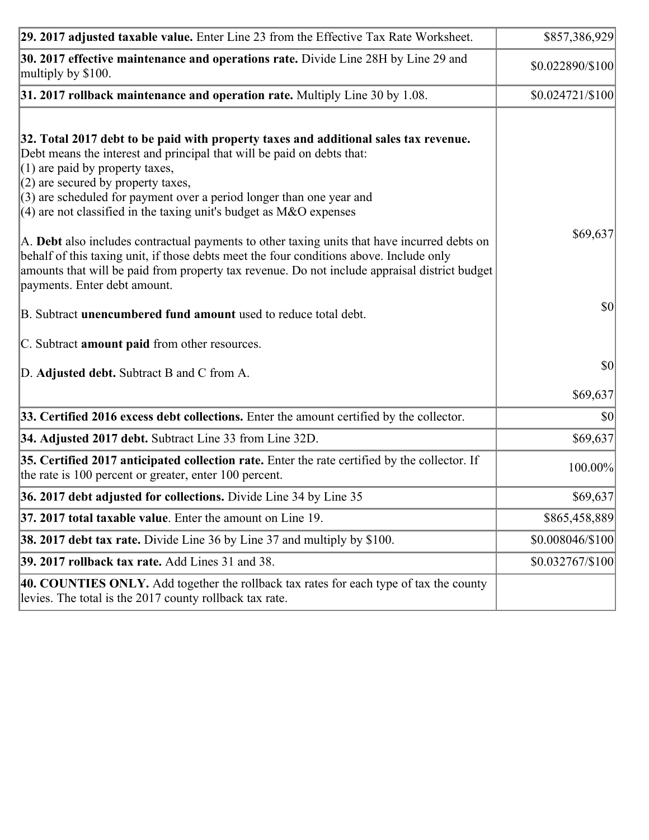| 29. 2017 adjusted taxable value. Enter Line 23 from the Effective Tax Rate Worksheet.                                                                                                                                                                                                                                                                                                         | \$857,386,929     |
|-----------------------------------------------------------------------------------------------------------------------------------------------------------------------------------------------------------------------------------------------------------------------------------------------------------------------------------------------------------------------------------------------|-------------------|
| 30. 2017 effective maintenance and operations rate. Divide Line 28H by Line 29 and<br>multiply by \$100.                                                                                                                                                                                                                                                                                      | \$0.022890/\$100  |
| $31.2017$ rollback maintenance and operation rate. Multiply Line 30 by 1.08.                                                                                                                                                                                                                                                                                                                  | $$0.024721/\$100$ |
| 32. Total 2017 debt to be paid with property taxes and additional sales tax revenue.<br>Debt means the interest and principal that will be paid on debts that:<br>$(1)$ are paid by property taxes,<br>$(2)$ are secured by property taxes,<br>$(3)$ are scheduled for payment over a period longer than one year and<br>(4) are not classified in the taxing unit's budget as $M&O$ expenses |                   |
| A. Debt also includes contractual payments to other taxing units that have incurred debts on<br>behalf of this taxing unit, if those debts meet the four conditions above. Include only<br>amounts that will be paid from property tax revenue. Do not include appraisal district budget<br>payments. Enter debt amount.                                                                      | \$69,637          |
| B. Subtract unencumbered fund amount used to reduce total debt.                                                                                                                                                                                                                                                                                                                               | \$0               |
| C. Subtract <b>amount paid</b> from other resources.                                                                                                                                                                                                                                                                                                                                          |                   |
| D. Adjusted debt. Subtract B and C from A.                                                                                                                                                                                                                                                                                                                                                    | $ 10\rangle$      |
|                                                                                                                                                                                                                                                                                                                                                                                               | \$69,637          |
| 33. Certified 2016 excess debt collections. Enter the amount certified by the collector.                                                                                                                                                                                                                                                                                                      | \$0               |
| 34. Adjusted 2017 debt. Subtract Line 33 from Line 32D.                                                                                                                                                                                                                                                                                                                                       | \$69,637          |
| 35. Certified 2017 anticipated collection rate. Enter the rate certified by the collector. If<br>the rate is 100 percent or greater, enter 100 percent.                                                                                                                                                                                                                                       | 100.00%           |
| 36. 2017 debt adjusted for collections. Divide Line 34 by Line 35                                                                                                                                                                                                                                                                                                                             | \$69,637          |
| 37. 2017 total taxable value. Enter the amount on Line 19.                                                                                                                                                                                                                                                                                                                                    | \$865,458,889     |
| <b>38. 2017 debt tax rate.</b> Divide Line 36 by Line 37 and multiply by \$100.                                                                                                                                                                                                                                                                                                               | \$0.008046/\$100  |
| 39. 2017 rollback tax rate. Add Lines 31 and 38.                                                                                                                                                                                                                                                                                                                                              | \$0.032767/\$100  |
| 40. COUNTIES ONLY. Add together the rollback tax rates for each type of tax the county<br>levies. The total is the 2017 county rollback tax rate.                                                                                                                                                                                                                                             |                   |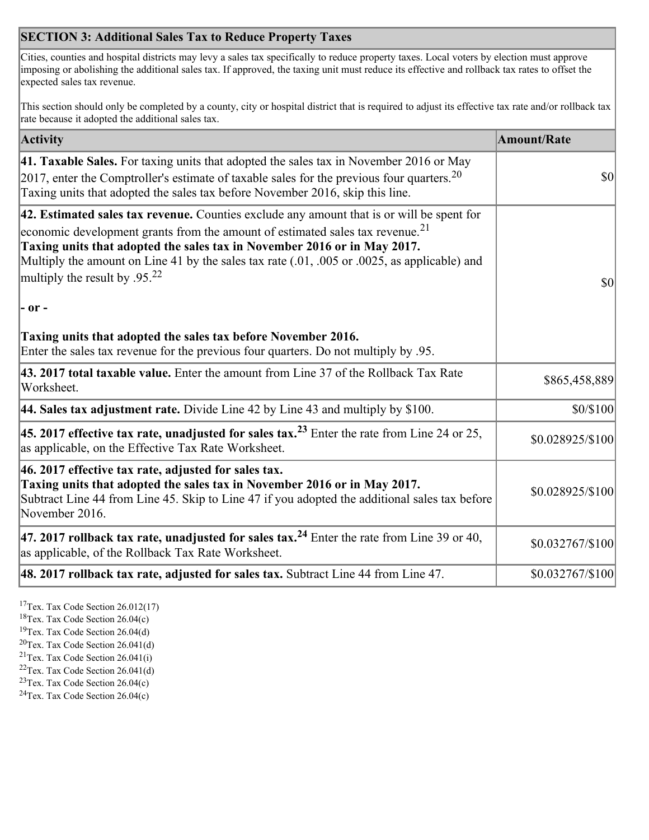## **SECTION 3: Additional Sales Tax to Reduce Property Taxes**

Cities, counties and hospital districts may levy a sales tax specifically to reduce property taxes. Local voters by election must approve imposing or abolishing the additional sales tax. If approved, the taxing unit must reduce its effective and rollback tax rates to offset the expected sales tax revenue.

This section should only be completed by a county, city or hospital district that is required to adjust its effective tax rate and/or rollback tax rate because it adopted the additional sales tax.

| <b>Activity</b>                                                                                                                                                                                                                                                                                                                                                                                                 | <b>Amount/Rate</b> |
|-----------------------------------------------------------------------------------------------------------------------------------------------------------------------------------------------------------------------------------------------------------------------------------------------------------------------------------------------------------------------------------------------------------------|--------------------|
| 41. Taxable Sales. For taxing units that adopted the sales tax in November 2016 or May<br>[2017, enter the Comptroller's estimate of taxable sales for the previous four quarters. <sup>20</sup><br>Taxing units that adopted the sales tax before November 2016, skip this line.                                                                                                                               | <b>\$0</b>         |
| 42. Estimated sales tax revenue. Counties exclude any amount that is or will be spent for<br>economic development grants from the amount of estimated sales tax revenue. <sup>21</sup><br>Taxing units that adopted the sales tax in November 2016 or in May 2017.<br>Multiply the amount on Line 41 by the sales tax rate (.01, .005 or .0025, as applicable) and<br>multiply the result by .95. <sup>22</sup> | \$0                |
| - or -                                                                                                                                                                                                                                                                                                                                                                                                          |                    |
| Taxing units that adopted the sales tax before November 2016.<br>Enter the sales tax revenue for the previous four quarters. Do not multiply by .95.                                                                                                                                                                                                                                                            |                    |
| 43. 2017 total taxable value. Enter the amount from Line 37 of the Rollback Tax Rate<br>Worksheet.                                                                                                                                                                                                                                                                                                              | \$865,458,889      |
| 44. Sales tax adjustment rate. Divide Line 42 by Line 43 and multiply by \$100.                                                                                                                                                                                                                                                                                                                                 | \$0/\$100          |
| 45. 2017 effective tax rate, unadjusted for sales tax. <sup>23</sup> Enter the rate from Line 24 or 25,<br>as applicable, on the Effective Tax Rate Worksheet.                                                                                                                                                                                                                                                  | \$0.028925/\$100   |
| 46. 2017 effective tax rate, adjusted for sales tax.<br>Taxing units that adopted the sales tax in November 2016 or in May 2017.<br>Subtract Line 44 from Line 45. Skip to Line 47 if you adopted the additional sales tax before<br>November 2016.                                                                                                                                                             | \$0.028925/\$100   |
| 47. 2017 rollback tax rate, unadjusted for sales tax. <sup>24</sup> Enter the rate from Line 39 or 40,<br>as applicable, of the Rollback Tax Rate Worksheet.                                                                                                                                                                                                                                                    | $$0.032767/\$100$  |
| $ 48.2017$ rollback tax rate, adjusted for sales tax. Subtract Line 44 from Line 47.                                                                                                                                                                                                                                                                                                                            | \$0.032767/\$100   |

<sup>17</sup>Tex. Tax Code Section 26.012(17)

<sup>18</sup>Tex. Tax Code Section 26.04(c)

<sup>19</sup>Tex. Tax Code Section 26.04(d)

<sup>20</sup>Tex. Tax Code Section 26.041(d)

- $21$ Tex. Tax Code Section 26.041(i)
- <sup>22</sup>Tex. Tax Code Section 26.041(d)
- <sup>23</sup>Tex. Tax Code Section  $26.04(c)$

<sup>24</sup>Tex. Tax Code Section  $26.04(c)$